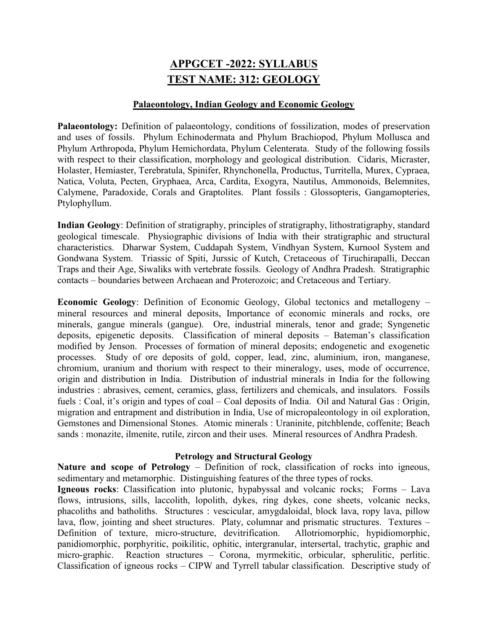## APPGCET -2022: SYLLABUS TEST NAME: 312: GEOLOGY

## Palaeontology, Indian Geology and Economic Geology

Palaeontology: Definition of palaeontology, conditions of fossilization, modes of preservation and uses of fossils. Phylum Echinodermata and Phylum Brachiopod, Phylum Mollusca and Phylum Arthropoda, Phylum Hemichordata, Phylum Celenterata. Study of the following fossils with respect to their classification, morphology and geological distribution. Cidaris, Micraster, Holaster, Hemiaster, Terebratula, Spinifer, Rhynchonella, Productus, Turritella, Murex, Cypraea, Natica, Voluta, Pecten, Gryphaea, Arca, Cardita, Exogyra, Nautilus, Ammonoids, Belemnites, Calymene, Paradoxide, Corals and Graptolites. Plant fossils : Glossopteris, Gangamopteries, Ptylophyllum.

Indian Geology: Definition of stratigraphy, principles of stratigraphy, lithostratigraphy, standard geological timescale. Physiographic divisions of India with their stratigraphic and structural characteristics. Dharwar System, Cuddapah System, Vindhyan System, Kurnool System and Gondwana System. Triassic of Spiti, Jurssic of Kutch, Cretaceous of Tiruchirapalli, Deccan Traps and their Age, Siwaliks with vertebrate fossils. Geology of Andhra Pradesh. Stratigraphic contacts – boundaries between Archaean and Proterozoic; and Cretaceous and Tertiary.

Economic Geology: Definition of Economic Geology, Global tectonics and metallogeny – mineral resources and mineral deposits, Importance of economic minerals and rocks, ore minerals, gangue minerals (gangue). Ore, industrial minerals, tenor and grade; Syngenetic deposits, epigenetic deposits. Classification of mineral deposits – Bateman's classification modified by Jenson. Processes of formation of mineral deposits; endogenetic and exogenetic processes. Study of ore deposits of gold, copper, lead, zinc, aluminium, iron, manganese, chromium, uranium and thorium with respect to their mineralogy, uses, mode of occurrence, origin and distribution in India. Distribution of industrial minerals in India for the following industries : abrasives, cement, ceramics, glass, fertilizers and chemicals, and insulators. Fossils fuels : Coal, it's origin and types of coal – Coal deposits of India. Oil and Natural Gas : Origin, migration and entrapment and distribution in India, Use of micropaleontology in oil exploration, Gemstones and Dimensional Stones. Atomic minerals : Uraninite, pitchblende, coffenite; Beach sands : monazite, ilmenite, rutile, zircon and their uses. Mineral resources of Andhra Pradesh.

## Petrology and Structural Geology

Nature and scope of Petrology – Definition of rock, classification of rocks into igneous, sedimentary and metamorphic. Distinguishing features of the three types of rocks.

Igneous rocks: Classification into plutonic, hypabyssal and volcanic rocks; Forms – Lava flows, intrusions, sills, laccolith, lopolith, dykes, ring dykes, cone sheets, volcanic necks, phacoliths and batholiths. Structures : vescicular, amygdaloidal, block lava, ropy lava, pillow lava, flow, jointing and sheet structures. Platy, columnar and prismatic structures. Textures – Definition of texture, micro-structure, devitrification. Allotriomorphic, hypidiomorphic, panidiomorphic, porphyritic, poikilitic, ophitic, intergranular, intersertal, trachytic, graphic and micro-graphic. Reaction structures – Corona, myrmekitic, orbicular, spherulitic, perlitic. Classification of igneous rocks – CIPW and Tyrrell tabular classification. Descriptive study of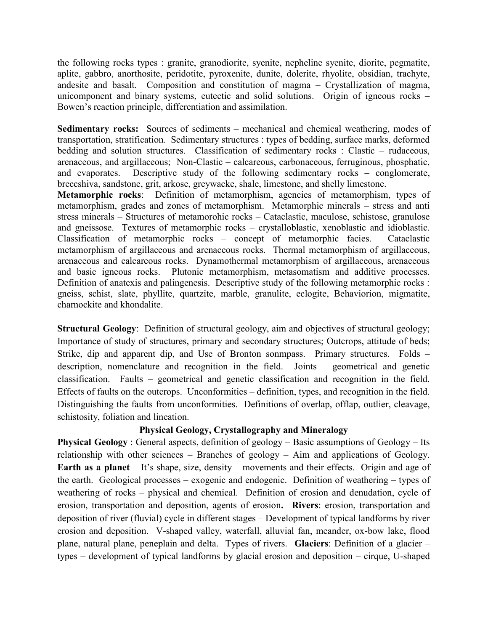the following rocks types : granite, granodiorite, syenite, nepheline syenite, diorite, pegmatite, aplite, gabbro, anorthosite, peridotite, pyroxenite, dunite, dolerite, rhyolite, obsidian, trachyte, andesite and basalt. Composition and constitution of magma – Crystallization of magma, unicomponent and binary systems, eutectic and solid solutions. Origin of igneous rocks – Bowen's reaction principle, differentiation and assimilation.

Sedimentary rocks: Sources of sediments – mechanical and chemical weathering, modes of transportation, stratification. Sedimentary structures : types of bedding, surface marks, deformed bedding and solution structures. Classification of sedimentary rocks : Clastic – rudaceous, arenaceous, and argillaceous; Non-Clastic – calcareous, carbonaceous, ferruginous, phosphatic, and evaporates. Descriptive study of the following sedimentary rocks – conglomerate, breccshiva, sandstone, grit, arkose, greywacke, shale, limestone, and shelly limestone.

Metamorphic rocks: Definition of metamorphism, agencies of metamorphism, types of metamorphism, grades and zones of metamorphism. Metamorphic minerals – stress and anti stress minerals – Structures of metamorohic rocks – Cataclastic, maculose, schistose, granulose and gneissose. Textures of metamorphic rocks – crystalloblastic, xenoblastic and idioblastic. Classification of metamorphic rocks – concept of metamorphic facies. Cataclastic metamorphism of argillaceous and arenaceous rocks. Thermal metamorphism of argillaceous, arenaceous and calcareous rocks. Dynamothermal metamorphism of argillaceous, arenaceous and basic igneous rocks. Plutonic metamorphism, metasomatism and additive processes. Definition of anatexis and palingenesis. Descriptive study of the following metamorphic rocks : gneiss, schist, slate, phyllite, quartzite, marble, granulite, eclogite, Behaviorion, migmatite, charnockite and khondalite.

Structural Geology: Definition of structural geology, aim and objectives of structural geology; Importance of study of structures, primary and secondary structures; Outcrops, attitude of beds; Strike, dip and apparent dip, and Use of Bronton sonmpass. Primary structures. Folds – description, nomenclature and recognition in the field. Joints – geometrical and genetic classification. Faults – geometrical and genetic classification and recognition in the field. Effects of faults on the outcrops. Unconformities – definition, types, and recognition in the field. Distinguishing the faults from unconformities. Definitions of overlap, offlap, outlier, cleavage, schistosity, foliation and lineation.

## Physical Geology, Crystallography and Mineralogy

Physical Geology : General aspects, definition of geology – Basic assumptions of Geology – Its relationship with other sciences – Branches of geology – Aim and applications of Geology. Earth as a planet – It's shape, size, density – movements and their effects. Origin and age of the earth. Geological processes – exogenic and endogenic. Definition of weathering – types of weathering of rocks – physical and chemical. Definition of erosion and denudation, cycle of erosion, transportation and deposition, agents of erosion. Rivers: erosion, transportation and deposition of river (fluvial) cycle in different stages – Development of typical landforms by river erosion and deposition. V-shaped valley, waterfall, alluvial fan, meander, ox-bow lake, flood plane, natural plane, peneplain and delta. Types of rivers. Glaciers: Definition of a glacier – types – development of typical landforms by glacial erosion and deposition – cirque, U-shaped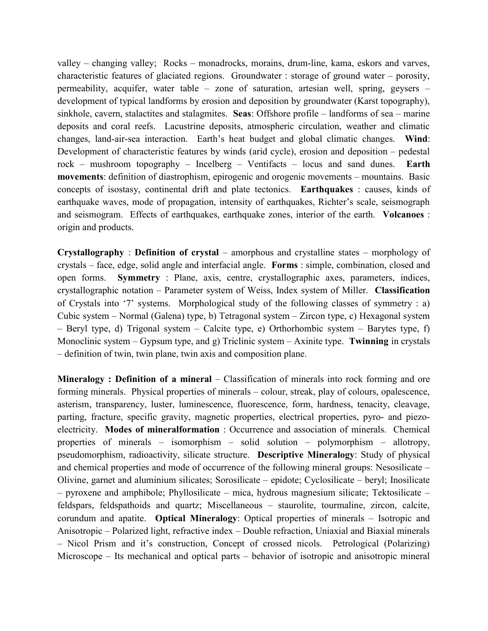valley – changing valley; Rocks – monadrocks, morains, drum-line, kama, eskors and varves, characteristic features of glaciated regions. Groundwater : storage of ground water – porosity, permeability, acquifer, water table – zone of saturation, artesian well, spring, geysers – development of typical landforms by erosion and deposition by groundwater (Karst topography), sinkhole, cavern, stalactites and stalagmites. Seas: Offshore profile – landforms of sea – marine deposits and coral reefs. Lacustrine deposits, atmospheric circulation, weather and climatic changes, land-air-sea interaction. Earth's heat budget and global climatic changes. Wind: Development of characteristic features by winds (arid cycle), erosion and deposition – pedestal rock – mushroom topography – Incelberg – Ventifacts – locus and sand dunes. Earth movements: definition of diastrophism, epirogenic and orogenic movements – mountains. Basic concepts of isostasy, continental drift and plate tectonics. Earthquakes : causes, kinds of earthquake waves, mode of propagation, intensity of earthquakes, Richter's scale, seismograph and seismogram. Effects of earthquakes, earthquake zones, interior of the earth. Volcanoes : origin and products.

Crystallography : Definition of crystal – amorphous and crystalline states – morphology of crystals – face, edge, solid angle and interfacial angle. Forms : simple, combination, closed and open forms. Symmetry : Plane, axis, centre, crystallographic axes, parameters, indices, crystallographic notation – Parameter system of Weiss, Index system of Miller. Classification of Crystals into '7' systems. Morphological study of the following classes of symmetry : a) Cubic system – Normal (Galena) type, b) Tetragonal system – Zircon type, c) Hexagonal system – Beryl type, d) Trigonal system – Calcite type, e) Orthorhombic system – Barytes type, f) Monoclinic system – Gypsum type, and g) Triclinic system – Axinite type. Twinning in crystals – definition of twin, twin plane, twin axis and composition plane.

Mineralogy : Definition of a mineral – Classification of minerals into rock forming and ore forming minerals. Physical properties of minerals – colour, streak, play of colours, opalescence, asterism, transparency, luster, luminescence, fluorescence, form, hardness, tenacity, cleavage, parting, fracture, specific gravity, magnetic properties, electrical properties, pyro- and piezoelectricity. Modes of mineralformation : Occurrence and association of minerals. Chemical properties of minerals – isomorphism – solid solution – polymorphism – allotropy, pseudomorphism, radioactivity, silicate structure. Descriptive Mineralogy: Study of physical and chemical properties and mode of occurrence of the following mineral groups: Nesosilicate – Olivine, garnet and aluminium silicates; Sorosilicate – epidote; Cyclosilicate – beryl; Inosilicate  $-$  pyroxene and amphibole; Phyllosilicate – mica, hydrous magnesium silicate; Tektosilicate – feldspars, feldspathoids and quartz; Miscellaneous – staurolite, tourmaline, zircon, calcite, corundum and apatite. Optical Mineralogy: Optical properties of minerals – Isotropic and Anisotropic – Polarized light, refractive index – Double refraction, Uniaxial and Biaxial minerals – Nicol Prism and it's construction, Concept of crossed nicols. Petrological (Polarizing) Microscope – Its mechanical and optical parts – behavior of isotropic and anisotropic mineral